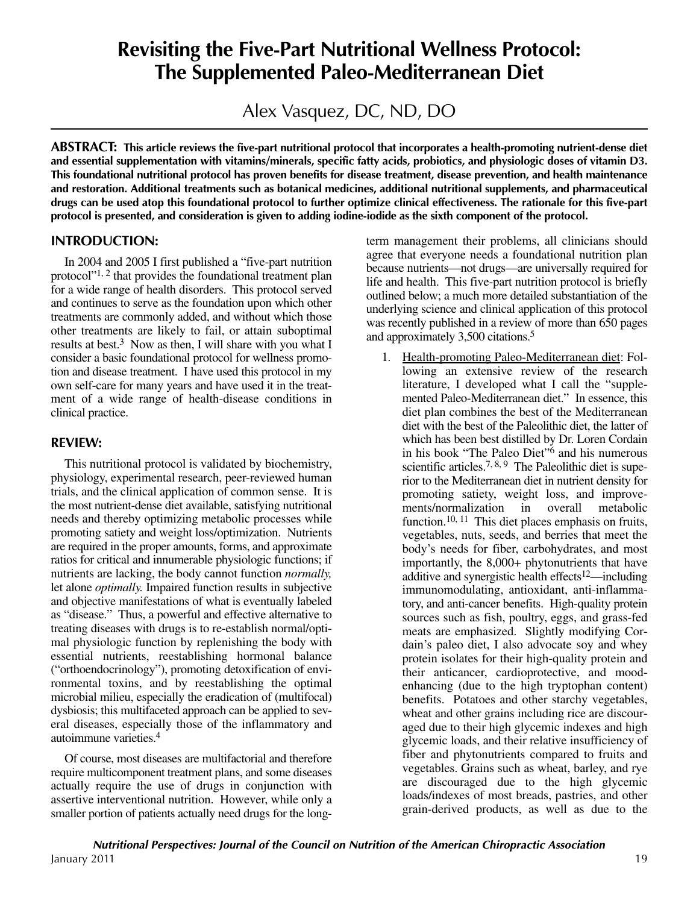# **Revisiting the Five-Part Nutritional Wellness Protocol: The Supplemented Paleo-Mediterranean Diet**

Alex Vasquez, DC, ND, DO

**ABSTRACT: This article reviews the five-part nutritional protocol that incorporates a health-promoting nutrient-dense diet** and essential supplementation with vitamins/minerals, specific fatty acids, probiotics, and physiologic doses of vitamin D3. This foundational nutritional protocol has proven benefits for disease treatment, disease prevention, and health maintenance **and restoration. Additional treatments such as botanical medicines, additional nutritional supplements, and pharmaceutical** drugs can be used atop this foundational protocol to further optimize clinical effectiveness. The rationale for this five-part protocol is presented, and consideration is given to adding iodine-iodide as the sixth component of the protocol.

### **INTRODUCTION:**

In 2004 and 2005 I first published a "five-part nutrition protocol"1, <sup>2</sup> that provides the foundational treatment plan for a wide range of health disorders. This protocol served and continues to serve as the foundation upon which other treatments are commonly added, and without which those other treatments are likely to fail, or attain suboptimal results at best. <sup>3</sup> Now as then, I will share with you what I consider a basic foundational protocol for wellness promotion and disease treatment. I have used this protocol in my own self-care for many years and have used it in the treatment of a wide range of health-disease conditions in clinical practice.

## **REVIEW:**

This nutritional protocol is validated by biochemistry, physiology, experimental research, peer-reviewed human trials, and the clinical application of common sense. It is the most nutrient-dense diet available, satisfying nutritional needs and thereby optimizing metabolic processes while promoting satiety and weight loss/optimization. Nutrients are required in the proper amounts, forms, and approximate ratios for critical and innumerable physiologic functions; if nutrients are lacking, the body cannot function *normally,* let alone *optimally.* Impaired function results in subjective and objective manifestations of what is eventually labeled as "disease." Thus, a powerful and effective alternative to treating diseases with drugs is to re-establish normal/optimal physiologic function by replenishing the body with essential nutrients, reestablishing hormonal balance ("orthoendocrinology"), promoting detoxification of environmental toxins, and by reestablishing the optimal microbial milieu, especially the eradication of (multifocal) dysbiosis; this multifaceted approach can be applied to several diseases, especially those of the inflammatory and autoimmune varieties. 4

Of course, most diseases are multifactorial and therefore require multicomponent treatment plans, and some diseases actually require the use of drugs in conjunction with assertive interventional nutrition. However, while only a smaller portion of patients actually need drugs for the longterm management their problems, all clinicians should agree that everyone needs a foundational nutrition plan because nutrients—not drugs—are universally required for life and health. This five-part nutrition protocol is briefly outlined below; a much more detailed substantiation of the underlying science and clinical application of this protocol was recently published in a review of more than 650 pages and approximately 3,500 citations. 5

1. Health-promoting Paleo-Mediterranean diet: Following an extensive review of the research literature, I developed what I call the "supplemented Paleo-Mediterranean diet." In essence, this diet plan combines the best of the Mediterranean diet with the best of the Paleolithic diet, the latter of which has been best distilled by Dr. Loren Cordain in his book "The Paleo Diet"6 and his numerous scientific articles.<sup>7, 8, 9</sup> The Paleolithic diet is superior to the Mediterranean diet in nutrient density for promoting satiety, weight loss, and improve-<br>ments/normalization in overall metabolic ments/normalization in overall metabolic function.<sup>10, 11</sup> This diet places emphasis on fruits, vegetables, nuts, seeds, and berries that meet the body's needs for fiber, carbohydrates, and most importantly, the 8,000+ phytonutrients that have additive and synergistic health effects<sup>12</sup>—including immunomodulating, antioxidant, anti-inflammatory, and anti-cancer benefits. High-quality protein sources such as fish, poultry, eggs, and grass-fed meats are emphasized. Slightly modifying Cordain's paleo diet, I also advocate soy and whey protein isolates for their high-quality protein and their anticancer, cardioprotective, and moodenhancing (due to the high tryptophan content) benefits. Potatoes and other starchy vegetables, wheat and other grains including rice are discouraged due to their high glycemic indexes and high glycemic loads, and their relative insufficiency of fiber and phytonutrients compared to fruits and vegetables. Grains such as wheat, barley, and rye are discouraged due to the high glycemic loads/indexes of most breads, pastries, and other grain-derived products, as well as due to the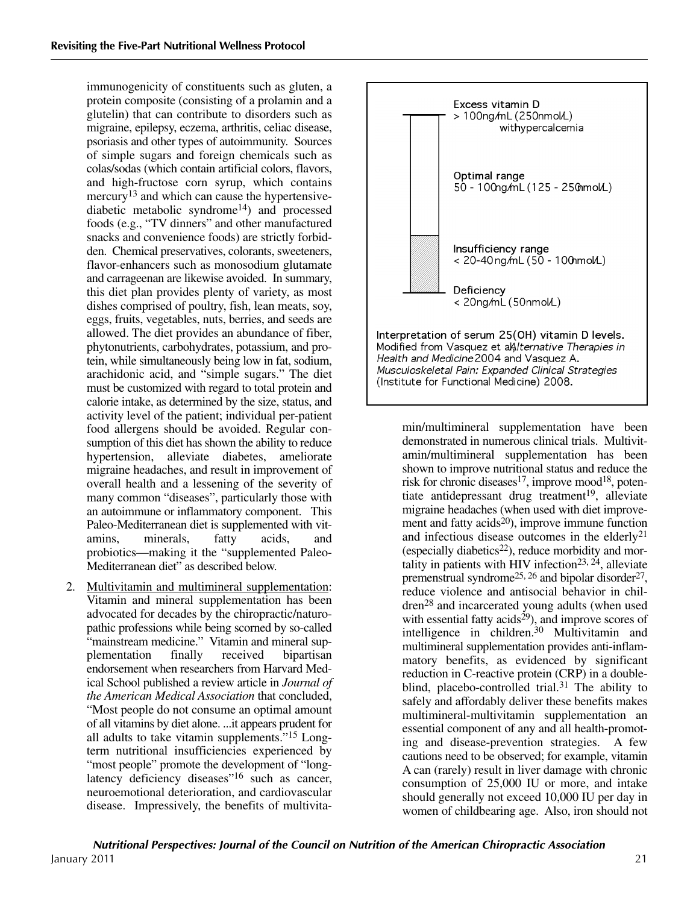immunogenicity of constituents such as gluten, a protein composite (consisting of a prolamin and a glutelin) that can contribute to disorders such as migraine, epilepsy, eczema, arthritis, celiac disease, psoriasis and other types of autoimmunity. Sources of simple sugars and foreign chemicals such as colas/sodas (which contain artificial colors, flavors, and high-fructose corn syrup, which contains mercury<sup>13</sup> and which can cause the hypertensivediabetic metabolic syndrome14) and processed foods (e.g., "TV dinners" and other manufactured snacks and convenience foods) are strictly forbidden. Chemical preservatives, colorants, sweeteners, flavor-enhancers such as monosodium glutamate and carrageenan are likewise avoided. In summary, this diet plan provides plenty of variety, as most dishes comprised of poultry, fish, lean meats, soy, eggs, fruits, vegetables, nuts, berries, and seeds are allowed. The diet provides an abundance of fiber, phytonutrients, carbohydrates, potassium, and protein, while simultaneously being low in fat, sodium, arachidonic acid, and "simple sugars." The diet must be customized with regard to total protein and calorie intake, as determined by the size, status, and activity level of the patient; individual per-patient food allergens should be avoided. Regular consumption of this diet has shown the ability to reduce hypertension, alleviate diabetes, ameliorate migraine headaches, and result in improvement of overall health and a lessening of the severity of many common "diseases", particularly those with an autoimmune or inflammatory component. This Paleo-Mediterranean diet is supplemented with vitamins, minerals, fatty acids, and probiotics—making it the "supplemented Paleo-Mediterranean diet" as described below.

2. Multivitamin and multimineral supplementation: Vitamin and mineral supplementation has been advocated for decades by the chiropractic/naturopathic professions while being scorned by so-called "mainstream medicine." Vitamin and mineral supplementation finally received bipartisan endorsement when researchers from Harvard Medical School published a review article in *Journal of the American Medical Association* that concluded, "Most people do not consume an optimal amount of all vitamins by diet alone. ...it appears prudent for all adults to take vitamin supplements."15 Longterm nutritional insufficiencies experienced by "most people" promote the development of "longlatency deficiency diseases"<sup>16</sup> such as cancer, neuroemotional deterioration, and cardiovascular disease. Impressively, the benefits of multivita-



min/multimineral supplementation have been demonstrated in numerous clinical trials. Multivitamin/multimineral supplementation has been shown to improve nutritional status and reduce the risk for chronic diseases<sup>17</sup>, improve mood<sup>18</sup>, potentiate antidepressant drug treatment 19, alleviate migraine headaches (when used with diet improvement and fatty acids<sup>20</sup>), improve immune function and infectious disease outcomes in the elderly21 (especially diabetics<sup>22</sup>), reduce morbidity and mortality in patients with HIV infection<sup>23, 24</sup>, alleviate premenstrual syndrome<sup>25, 26</sup> and bipolar disorder<sup>27</sup>, reduce violence and antisocial behavior in children28 and incarcerated young adults (when used with essential fatty acids<sup>29</sup>), and improve scores of intelligence in children. <sup>30</sup> Multivitamin and multimineral supplementation provides anti-inflammatory benefits, as evidenced by significant reduction in C-reactive protein (CRP) in a doubleblind, placebo-controlled trial.<sup>31</sup> The ability to safely and affordably deliver these benefits makes multimineral-multivitamin supplementation an essential component of any and all health-promoting and disease-prevention strategies. A few cautions need to be observed; for example, vitamin A can (rarely) result in liver damage with chronic consumption of 25,000 IU or more, and intake should generally not exceed 10,000 IU per day in women of childbearing age. Also, iron should not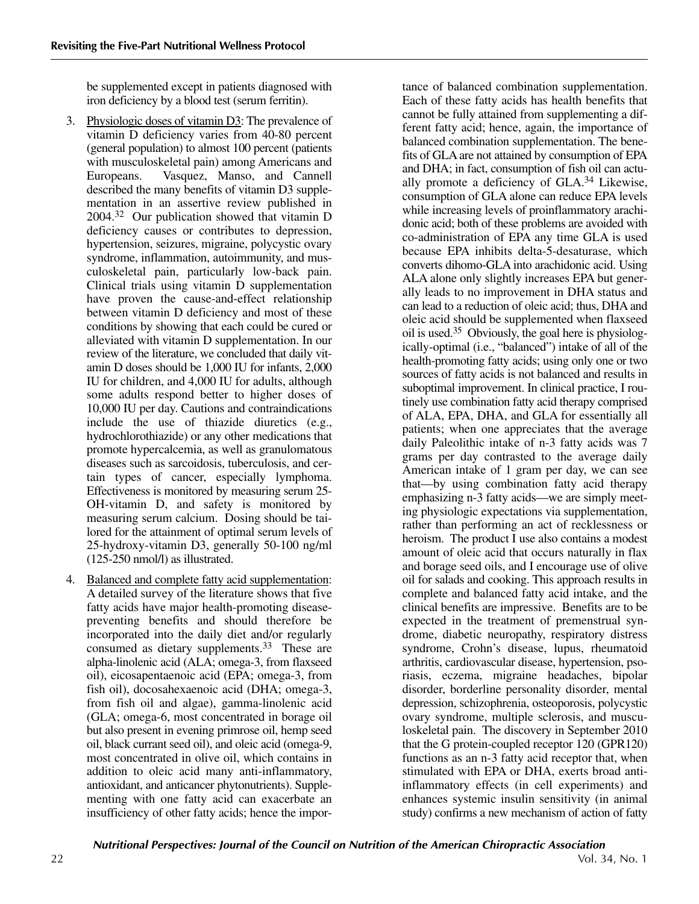be supplemented except in patients diagnosed with iron deficiency by a blood test (serum ferritin).

- 3. Physiologic doses of vitamin D3: The prevalence of vitamin D deficiency varies from 40-80 percent (general population) to almost 100 percent (patients with musculoskeletal pain) among Americans and Europeans. Vasquez, Manso, and Cannell described the many benefits of vitamin D3 supplementation in an assertive review published in 2004. <sup>32</sup> Our publication showed that vitamin D deficiency causes or contributes to depression, hypertension, seizures, migraine, polycystic ovary syndrome, inflammation, autoimmunity, and musculoskeletal pain, particularly low-back pain. Clinical trials using vitamin D supplementation have proven the cause-and-effect relationship between vitamin D deficiency and most of these conditions by showing that each could be cured or alleviated with vitamin D supplementation. In our review of the literature, we concluded that daily vitamin D doses should be 1,000 IU for infants, 2,000 IU for children, and 4,000 IU for adults, although some adults respond better to higher doses of 10,000 IU per day. Cautions and contraindications include the use of thiazide diuretics (e.g., hydrochlorothiazide) or any other medications that promote hypercalcemia, as well as granulomatous diseases such as sarcoidosis, tuberculosis, and certain types of cancer, especially lymphoma. Effectiveness is monitored by measuring serum 25- OH-vitamin D, and safety is monitored by measuring serum calcium. Dosing should be tailored for the attainment of optimal serum levels of 25-hydroxy-vitamin D3, generally 50-100 ng/ml (125-250 nmol/l) as illustrated.
- 4. Balanced and complete fatty acid supplementation: A detailed survey of the literature shows that five fatty acids have major health-promoting diseasepreventing benefits and should therefore be incorporated into the daily diet and/or regularly consumed as dietary supplements. <sup>33</sup> These are alpha-linolenic acid (ALA; omega-3, from flaxseed oil), eicosapentaenoic acid (EPA; omega-3, from fish oil), docosahexaenoic acid (DHA; omega-3, from fish oil and algae), gamma-linolenic acid (GLA; omega-6, most concentrated in borage oil but also present in evening primrose oil, hemp seed oil, black currant seed oil), and oleic acid (omega-9, most concentrated in olive oil, which contains in addition to oleic acid many anti-inflammatory, antioxidant, and anticancer phytonutrients). Supplementing with one fatty acid can exacerbate an insufficiency of other fatty acids; hence the impor-

tance of balanced combination supplementation. Each of these fatty acids has health benefits that cannot be fully attained from supplementing a different fatty acid; hence, again, the importance of balanced combination supplementation. The benefits of GLA are not attained by consumption of EPA and DHA; in fact, consumption of fish oil can actually promote a deficiency of GLA. <sup>34</sup> Likewise, consumption of GLA alone can reduce EPA levels while increasing levels of proinflammatory arachidonic acid; both of these problems are avoided with co-administration of EPA any time GLA is used because EPA inhibits delta-5-desaturase, which converts dihomo-GLA into arachidonic acid. Using ALA alone only slightly increases EPA but generally leads to no improvement in DHA status and can lead to a reduction of oleic acid; thus, DHA and oleic acid should be supplemented when flaxseed oil is used. <sup>35</sup> Obviously, the goal here is physiologically-optimal (i.e., "balanced") intake of all of the health-promoting fatty acids; using only one or two sources of fatty acids is not balanced and results in suboptimal improvement. In clinical practice, I routinely use combination fatty acid therapy comprised of ALA, EPA, DHA, and GLA for essentially all patients; when one appreciates that the average daily Paleolithic intake of n-3 fatty acids was 7 grams per day contrasted to the average daily American intake of 1 gram per day, we can see that—by using combination fatty acid therapy emphasizing n-3 fatty acids—we are simply meeting physiologic expectations via supplementation, rather than performing an act of recklessness or heroism. The product I use also contains a modest amount of oleic acid that occurs naturally in flax and borage seed oils, and I encourage use of olive oil for salads and cooking. This approach results in complete and balanced fatty acid intake, and the clinical benefits are impressive. Benefits are to be expected in the treatment of premenstrual syndrome, diabetic neuropathy, respiratory distress syndrome, Crohn's disease, lupus, rheumatoid arthritis, cardiovascular disease, hypertension, psoriasis, eczema, migraine headaches, bipolar disorder, borderline personality disorder, mental depression, schizophrenia, osteoporosis, polycystic ovary syndrome, multiple sclerosis, and musculoskeletal pain. The discovery in September 2010 that the G protein-coupled receptor 120 (GPR120) functions as an n-3 fatty acid receptor that, when stimulated with EPA or DHA, exerts broad antiinflammatory effects (in cell experiments) and enhances systemic insulin sensitivity (in animal study) confirms a new mechanism of action of fatty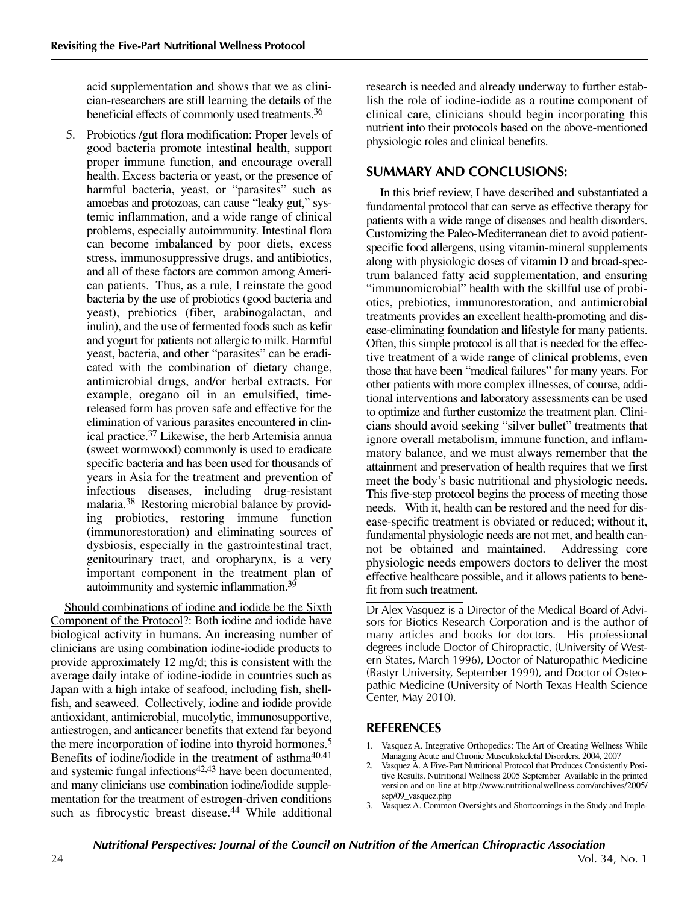acid supplementation and shows that we as clinician-researchers are still learning the details of the beneficial effects of commonly used treatments. 36

5. Probiotics /gut flora modification: Proper levels of good bacteria promote intestinal health, support proper immune function, and encourage overall health. Excess bacteria or yeast, or the presence of harmful bacteria, yeast, or "parasites" such as amoebas and protozoas, can cause "leaky gut," systemic inflammation, and a wide range of clinical problems, especially autoimmunity. Intestinal flora can become imbalanced by poor diets, excess stress, immunosuppressive drugs, and antibiotics, and all of these factors are common among American patients. Thus, as a rule, I reinstate the good bacteria by the use of probiotics (good bacteria and yeast), prebiotics (fiber, arabinogalactan, and inulin), and the use of fermented foods such as kefir and yogurt for patients not allergic to milk. Harmful yeast, bacteria, and other "parasites" can be eradicated with the combination of dietary change, antimicrobial drugs, and/or herbal extracts. For example, oregano oil in an emulsified, timereleased form has proven safe and effective for the elimination of various parasites encountered in clinical practice. <sup>37</sup> Likewise, the herb Artemisia annua (sweet wormwood) commonly is used to eradicate specific bacteria and has been used for thousands of years in Asia for the treatment and prevention of infectious diseases, including drug-resistant malaria. <sup>38</sup> Restoring microbial balance by providing probiotics, restoring immune function (immunorestoration) and eliminating sources of dysbiosis, especially in the gastrointestinal tract, genitourinary tract, and oropharynx, is a very important component in the treatment plan of autoimmunity and systemic inflammation. 39

Should combinations of iodine and iodide be the Sixth Component of the Protocol?: Both iodine and iodide have biological activity in humans. An increasing number of clinicians are using combination iodine-iodide products to provide approximately 12 mg/d; this is consistent with the average daily intake of iodine-iodide in countries such as Japan with a high intake of seafood, including fish, shellfish, and seaweed. Collectively, iodine and iodide provide antioxidant, antimicrobial, mucolytic, immunosupportive, antiestrogen, and anticancer benefits that extend far beyond the mere incorporation of iodine into thyroid hormones. 5 Benefits of iodine/iodide in the treatment of asthma<sup>40,41</sup> and systemic fungal infections<sup>42,43</sup> have been documented, and many clinicians use combination iodine/iodide supplementation for the treatment of estrogen-driven conditions such as fibrocystic breast disease. <sup>44</sup> While additional

research is needed and already underway to further establish the role of iodine-iodide as a routine component of clinical care, clinicians should begin incorporating this nutrient into their protocols based on the above-mentioned physiologic roles and clinical benefits.

## **SUMMARY AND CONCLUSIONS:**

In this brief review, I have described and substantiated a fundamental protocol that can serve as effective therapy for patients with a wide range of diseases and health disorders. Customizing the Paleo-Mediterranean diet to avoid patientspecific food allergens, using vitamin-mineral supplements along with physiologic doses of vitamin D and broad-spectrum balanced fatty acid supplementation, and ensuring "immunomicrobial" health with the skillful use of probiotics, prebiotics, immunorestoration, and antimicrobial treatments provides an excellent health-promoting and disease-eliminating foundation and lifestyle for many patients. Often, this simple protocol is all that is needed for the effective treatment of a wide range of clinical problems, even those that have been "medical failures" for many years. For other patients with more complex illnesses, of course, additional interventions and laboratory assessments can be used to optimize and further customize the treatment plan. Clinicians should avoid seeking "silver bullet" treatments that ignore overall metabolism, immune function, and inflammatory balance, and we must always remember that the attainment and preservation of health requires that we first meet the body's basic nutritional and physiologic needs. This five-step protocol begins the process of meeting those needs. With it, health can be restored and the need for disease-specific treatment is obviated or reduced; without it, fundamental physiologic needs are not met, and health cannot be obtained and maintained. Addressing core physiologic needs empowers doctors to deliver the most effective healthcare possible, and it allows patients to benefit from such treatment.

Dr Alex Vasquez is a Director of the Medical Board of Advisors for Biotics Research Corporation and is the author of many articles and books for doctors. His professional degrees include Doctor of Chiropractic, (University of Western States, March 1996), Doctor of Naturopathic Medicine (Bastyr University, September 1999), and Doctor of Osteopathic Medicine (University of North Texas Health Science Center, May 2010).

### **REFERENCES**

- 1. Vasquez A. Integrative Orthopedics: The Art of Creating Wellness While Managing Acute and Chronic Musculoskeletal Disorders. 2004, 2007
- Vasquez A. A Five-Part Nutritional Protocol that Produces Consistently Positive Results. Nutritional Wellness 2005 September Available in the printed version and on-line at http://www.nutritionalwellness.com/archives/2005/ sep/09\_vasquez.php
- 3. Vasquez A. Common Oversights and Shortcomings in the Study and Imple-